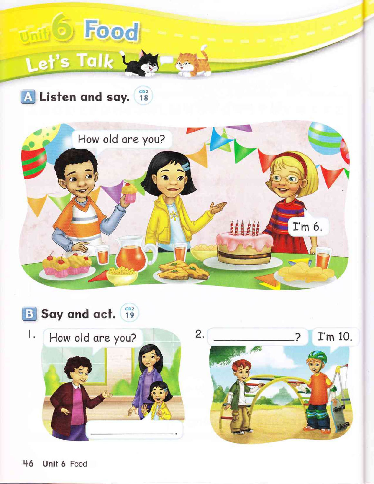### Food  $\text{Unif}(S)$ Let's Talk Y

A Listen and say. (18)





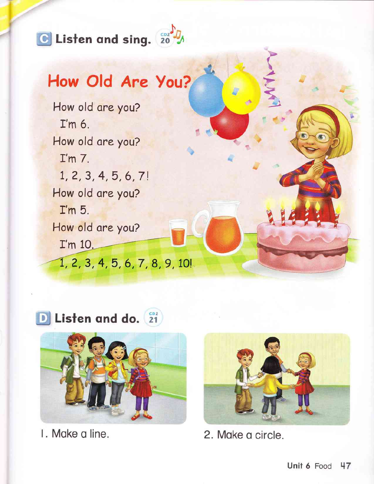

#### How Old Are You?

How old are you? I'm 6. How old are you?  $I'm$   $7.$  $1, 2, 3, 4, 5, 6, 7!$ How old are you?  $\mathbf{I}'$ m 5. How old are you? I'm 10. 1, 2, 3, 4, 5, 6, 7, 8, 9, 10!

D Listen and do. (21)



I. Make a line.



2. Make a circle.

B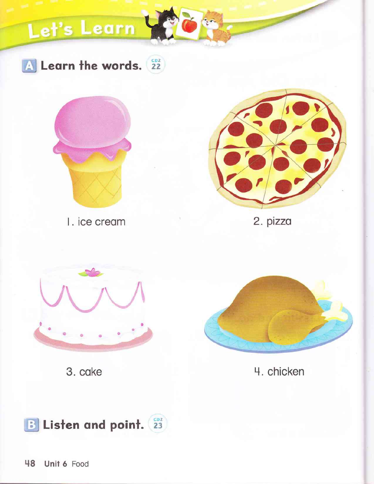## Let's Learn

A Learn the words. (22)



I. ice cream



2. pizza



3. cake



4. chicken

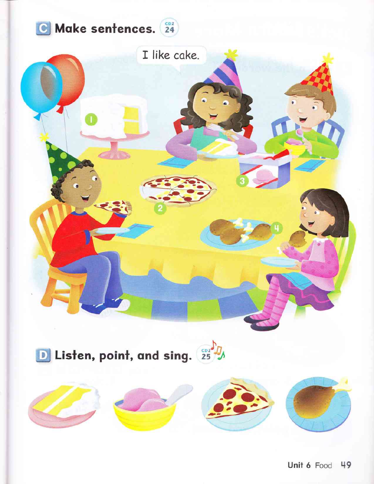

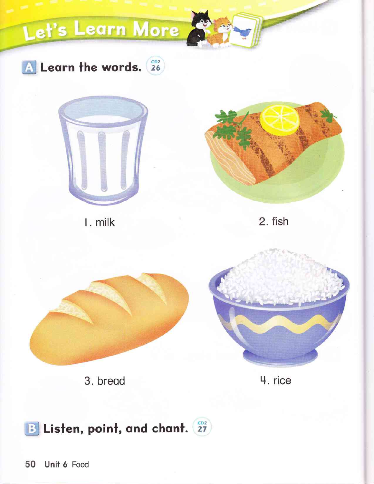

B Listen, point, and chant. 27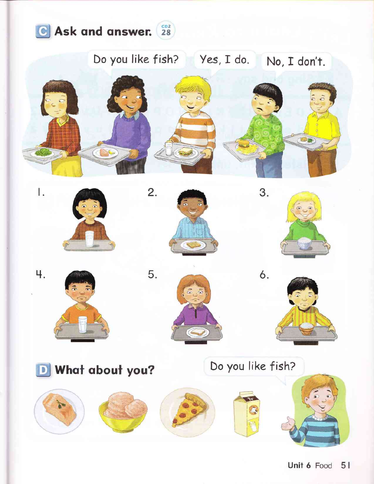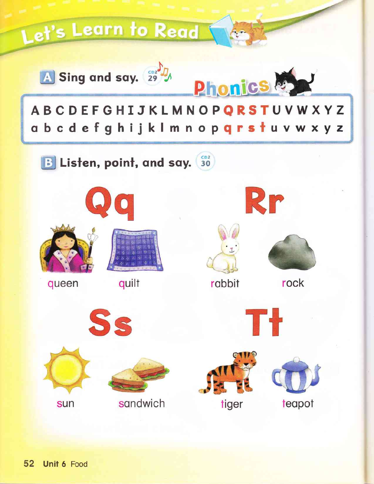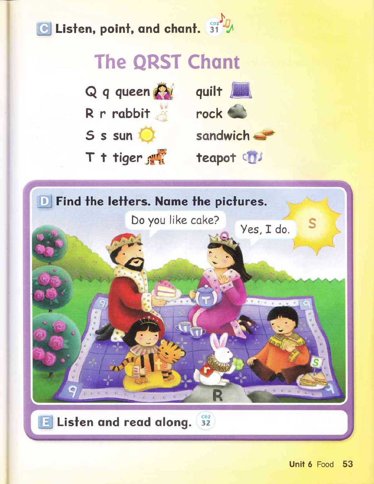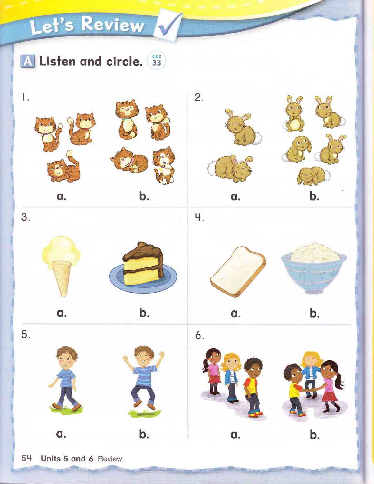### Let's Review

A Listen and circle. 33



a.



 $\mathbf b$ .



























b.

a.